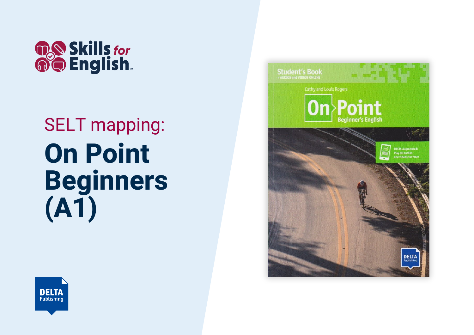

## SELT mapping: **On Point Beginners (A1)**



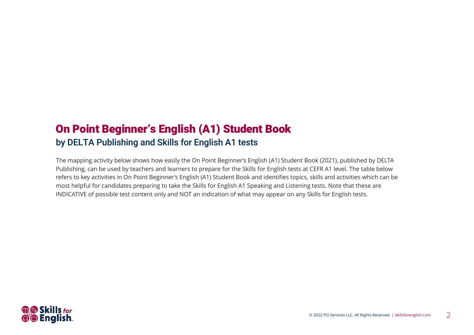## On Point Beginner's English (A1) Student Book by DELTA Publishing and Skills for English A1 tests

The mapping activity below shows how easily the On Point Beginner's English (A1) Student Book (2021), published by DELTA Publishing, can be used by teachers and learners to prepare for the Skills for English tests at CEFR A1 level. The table below refers to key activities in On Point Beginner's English (A1) Student Book and identifies topics, skills and activities which can be most helpful for candidates preparing to take the Skills for English A1 Speaking and Listening tests. Note that these are INDICATIVE of possible test content only and NOT an indication of what may appear on any Skills for English tests.

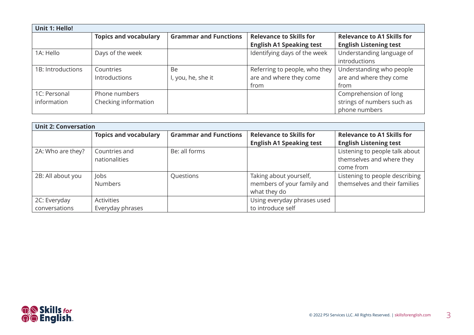| <b>Unit 1: Hello!</b> |                              |                              |                                 |                                   |
|-----------------------|------------------------------|------------------------------|---------------------------------|-----------------------------------|
|                       | <b>Topics and vocabulary</b> | <b>Grammar and Functions</b> | <b>Relevance to Skills for</b>  | <b>Relevance to A1 Skills for</b> |
|                       |                              |                              | <b>English A1 Speaking test</b> | <b>English Listening test</b>     |
| 1A: Hello             | Days of the week             |                              | Identifying days of the week    | Understanding language of         |
|                       |                              |                              |                                 | introductions                     |
| 1B: Introductions     | Countries                    | Be                           | Referring to people, who they   | Understanding who people          |
|                       | Introductions                | I, you, he, she it           | are and where they come         | are and where they come           |
|                       |                              |                              | from                            | from                              |
| 1C: Personal          | Phone numbers                |                              |                                 | Comprehension of long             |
| information           | Checking information         |                              |                                 | strings of numbers such as        |
|                       |                              |                              |                                 | phone numbers                     |

| <b>Unit 2: Conversation</b> |                              |                              |                                 |                                   |
|-----------------------------|------------------------------|------------------------------|---------------------------------|-----------------------------------|
|                             | <b>Topics and vocabulary</b> | <b>Grammar and Functions</b> | <b>Relevance to Skills for</b>  | <b>Relevance to A1 Skills for</b> |
|                             |                              |                              | <b>English A1 Speaking test</b> | <b>English Listening test</b>     |
| 2A: Who are they?           | Countries and                | Be: all forms                |                                 | Listening to people talk about    |
|                             | nationalities                |                              |                                 | themselves and where they         |
|                             |                              |                              |                                 | come from                         |
| 2B: All about you           | Jobs                         | Questions                    | Taking about yourself,          | Listening to people describing    |
|                             | <b>Numbers</b>               |                              | members of your family and      | themselves and their families     |
|                             |                              |                              | what they do                    |                                   |
| 2C: Everyday                | <b>Activities</b>            |                              | Using everyday phrases used     |                                   |
| conversations               | Everyday phrases             |                              | to introduce self               |                                   |

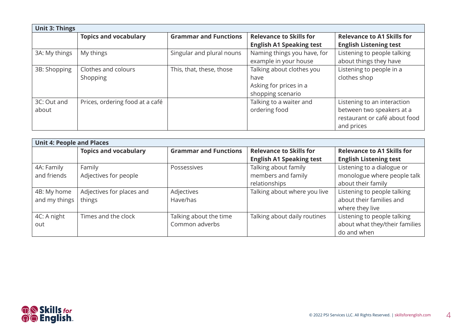| <b>Unit 3: Things</b> |                                 |                              |                                 |                                   |
|-----------------------|---------------------------------|------------------------------|---------------------------------|-----------------------------------|
|                       | <b>Topics and vocabulary</b>    | <b>Grammar and Functions</b> | <b>Relevance to Skills for</b>  | <b>Relevance to A1 Skills for</b> |
|                       |                                 |                              | <b>English A1 Speaking test</b> | <b>English Listening test</b>     |
| 3A: My things         | My things                       | Singular and plural nouns    | Naming things you have, for     | Listening to people talking       |
|                       |                                 |                              | example in your house           | about things they have            |
| 3B: Shopping          | Clothes and colours             | This, that, these, those     | Talking about clothes you       | Listening to people in a          |
|                       | Shopping                        |                              | have                            | clothes shop                      |
|                       |                                 |                              | Asking for prices in a          |                                   |
|                       |                                 |                              | shopping scenario               |                                   |
| 3C: Out and           | Prices, ordering food at a café |                              | Talking to a waiter and         | Listening to an interaction       |
| about                 |                                 |                              | ordering food                   | between two speakers at a         |
|                       |                                 |                              |                                 | restaurant or café about food     |
|                       |                                 |                              |                                 | and prices                        |

| <b>Unit 4: People and Places</b> |                              |                              |                                 |                                   |
|----------------------------------|------------------------------|------------------------------|---------------------------------|-----------------------------------|
|                                  | <b>Topics and vocabulary</b> | <b>Grammar and Functions</b> | <b>Relevance to Skills for</b>  | <b>Relevance to A1 Skills for</b> |
|                                  |                              |                              | <b>English A1 Speaking test</b> | <b>English Listening test</b>     |
| 4A: Family                       | Family                       | Possessives                  | Talking about family            | Listening to a dialogue or        |
| and friends                      | Adjectives for people        |                              | members and family              | monologue where people talk       |
|                                  |                              |                              | relationships                   | about their family                |
| 4B: My home                      | Adjectives for places and    | Adjectives                   | Talking about where you live    | Listening to people talking       |
| and my things                    | things                       | Have/has                     |                                 | about their families and          |
|                                  |                              |                              |                                 | where they live                   |
| 4C: A night                      | Times and the clock          | Talking about the time       | Talking about daily routines    | Listening to people talking       |
| out                              |                              | Common adverbs               |                                 | about what they/their families    |
|                                  |                              |                              |                                 | do and when                       |

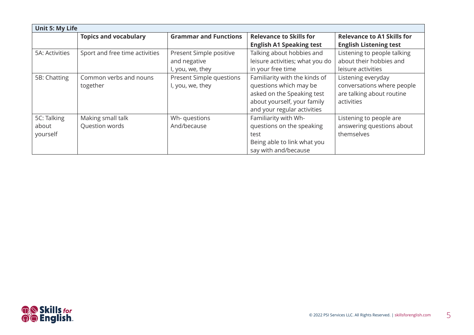| <b>Unit 5: My Life</b> |                                |                              |                                 |                                   |
|------------------------|--------------------------------|------------------------------|---------------------------------|-----------------------------------|
|                        | <b>Topics and vocabulary</b>   | <b>Grammar and Functions</b> | <b>Relevance to Skills for</b>  | <b>Relevance to A1 Skills for</b> |
|                        |                                |                              | <b>English A1 Speaking test</b> | <b>English Listening test</b>     |
| 5A: Activities         | Sport and free time activities | Present Simple positive      | Talking about hobbies and       | Listening to people talking       |
|                        |                                | and negative                 | leisure activities; what you do | about their hobbies and           |
|                        |                                | I, you, we, they             | in your free time               | leisure activities                |
| 5B: Chatting           | Common verbs and nouns         | Present Simple questions     | Familiarity with the kinds of   | Listening everyday                |
|                        | together                       | I, you, we, they             | questions which may be          | conversations where people        |
|                        |                                |                              | asked on the Speaking test      | are talking about routine         |
|                        |                                |                              | about yourself, your family     | activities                        |
|                        |                                |                              | and your regular activities     |                                   |
| 5C: Talking            | Making small talk              | Wh- questions                | Familiarity with Wh-            | Listening to people are           |
| about                  | Question words                 | And/because                  | questions on the speaking       | answering questions about         |
| yourself               |                                |                              | test                            | themselves                        |
|                        |                                |                              | Being able to link what you     |                                   |
|                        |                                |                              | say with and/because            |                                   |

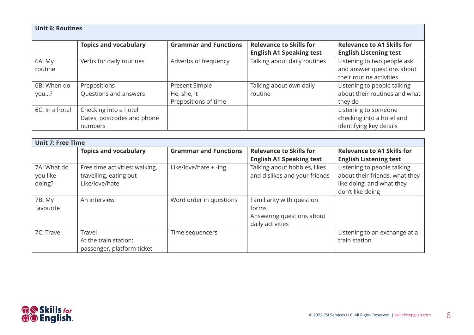| <b>Unit 6: Routines</b> |                              |                              |                                                                   |                                                                                       |
|-------------------------|------------------------------|------------------------------|-------------------------------------------------------------------|---------------------------------------------------------------------------------------|
|                         | <b>Topics and vocabulary</b> | <b>Grammar and Functions</b> | <b>Relevance to Skills for</b><br><b>English A1 Speaking test</b> | <b>Relevance to A1 Skills for</b><br><b>English Listening test</b>                    |
| 6A: My<br>routine       | Verbs for daily routines     | Adverbs of frequency         | Talking about daily routines                                      | Listening to two people ask<br>and answer questions about<br>their routine activities |
| 6B: When do             | Prepositions                 | Present Simple               | Talking about own daily                                           | Listening to people talking                                                           |
| you?                    | Questions and answers        | He, she, it                  | routine                                                           | about their routines and what                                                         |
|                         |                              | Prepositions of time         |                                                                   | they do                                                                               |
| 6C: In a hotel          | Checking into a hotel        |                              |                                                                   | Listening to someone                                                                  |
|                         | Dates, postcodes and phone   |                              |                                                                   | checking into a hotel and                                                             |
|                         | numbers                      |                              |                                                                   | identifying key details                                                               |

|                                   | <b>Unit 7: Free Time</b>                                                   |                              |                                                                                     |                                                                                                                |
|-----------------------------------|----------------------------------------------------------------------------|------------------------------|-------------------------------------------------------------------------------------|----------------------------------------------------------------------------------------------------------------|
|                                   | <b>Topics and vocabulary</b>                                               | <b>Grammar and Functions</b> | <b>Relevance to Skills for</b><br><b>English A1 Speaking test</b>                   | <b>Relevance to A1 Skills for</b><br><b>English Listening test</b>                                             |
| 7A: What do<br>you like<br>doing? | Free time activities: walking,<br>travelling, eating out<br>Like/love/hate | Like/love/hate + -ing        | Talking about hobbies, likes<br>and dislikes and your friends                       | Listening to people talking<br>about their friends, what they<br>like doing, and what they<br>don't like doing |
| 7B: My<br>favourite               | An interview                                                               | Word order in questions      | Familiarity with question<br>forms<br>Answering questions about<br>daily activities |                                                                                                                |
| 7C: Travel                        | Travel<br>At the train station:<br>passenger, platform ticket              | Time sequencers              |                                                                                     | Listening to an exchange at a<br>train station                                                                 |

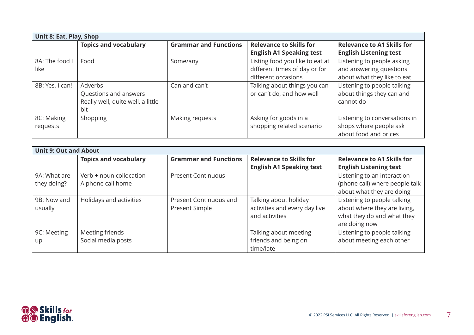| Unit 8: Eat, Play, Shop |                                   |                              |                                 |                                   |
|-------------------------|-----------------------------------|------------------------------|---------------------------------|-----------------------------------|
|                         | <b>Topics and vocabulary</b>      | <b>Grammar and Functions</b> | <b>Relevance to Skills for</b>  | <b>Relevance to A1 Skills for</b> |
|                         |                                   |                              | <b>English A1 Speaking test</b> | <b>English Listening test</b>     |
| 8A: The food I          | Food                              | Some/any                     | Listing food you like to eat at | Listening to people asking        |
| like                    |                                   |                              | different times of day or for   | and answering questions           |
|                         |                                   |                              | different occasions             | about what they like to eat       |
| 8B: Yes, I can!         | Adverbs                           | Can and can't                | Talking about things you can    | Listening to people talking       |
|                         | Questions and answers             |                              | or can't do, and how well       | about things they can and         |
|                         | Really well, quite well, a little |                              |                                 | cannot do                         |
|                         | bit                               |                              |                                 |                                   |
| 8C: Making              | Shopping                          | Making requests              | Asking for goods in a           | Listening to conversations in     |
| requests                |                                   |                              | shopping related scenario       | shops where people ask            |
|                         |                                   |                              |                                 | about food and prices             |

| <b>Unit 9: Out and About</b> |                              |                                          |                                                                          |                                                                                                            |
|------------------------------|------------------------------|------------------------------------------|--------------------------------------------------------------------------|------------------------------------------------------------------------------------------------------------|
|                              | <b>Topics and vocabulary</b> | <b>Grammar and Functions</b>             | <b>Relevance to Skills for</b>                                           | <b>Relevance to A1 Skills for</b>                                                                          |
|                              |                              |                                          | <b>English A1 Speaking test</b>                                          | <b>English Listening test</b>                                                                              |
| 9A: What are                 | Verb + noun collocation      | <b>Present Continuous</b>                |                                                                          | Listening to an interaction                                                                                |
| they doing?                  | A phone call home            |                                          |                                                                          | (phone call) where people talk<br>about what they are doing                                                |
| 9B: Now and<br>usually       | Holidays and activities      | Present Continuous and<br>Present Simple | Talking about holiday<br>activities and every day live<br>and activities | Listening to people talking<br>about where they are living,<br>what they do and what they<br>are doing now |
| 9C: Meeting                  | Meeting friends              |                                          | Talking about meeting                                                    | Listening to people talking                                                                                |
| up                           | Social media posts           |                                          | friends and being on<br>time/late                                        | about meeting each other                                                                                   |

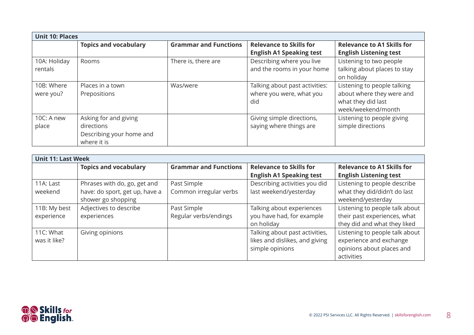| <b>Unit 10: Places</b>  |                                                                                |                              |                                                                   |                                                                                                      |
|-------------------------|--------------------------------------------------------------------------------|------------------------------|-------------------------------------------------------------------|------------------------------------------------------------------------------------------------------|
|                         | <b>Topics and vocabulary</b>                                                   | <b>Grammar and Functions</b> | <b>Relevance to Skills for</b><br><b>English A1 Speaking test</b> | <b>Relevance to A1 Skills for</b><br><b>English Listening test</b>                                   |
| 10A: Holiday<br>rentals | Rooms                                                                          | There is, there are          | Describing where you live<br>and the rooms in your home           | Listening to two people<br>talking about places to stay<br>on holiday                                |
| 10B: Where<br>were you? | Places in a town<br>Prepositions                                               | Was/were                     | Talking about past activities:<br>where you were, what you<br>did | Listening to people talking<br>about where they were and<br>what they did last<br>week/weekend/month |
| 10C: A new<br>place     | Asking for and giving<br>directions<br>Describing your home and<br>where it is |                              | Giving simple directions,<br>saying where things are              | Listening to people giving<br>simple directions                                                      |

| <b>Unit 11: Last Week</b> |                                |                              |                                 |                                   |
|---------------------------|--------------------------------|------------------------------|---------------------------------|-----------------------------------|
|                           | <b>Topics and vocabulary</b>   | <b>Grammar and Functions</b> | <b>Relevance to Skills for</b>  | <b>Relevance to A1 Skills for</b> |
|                           |                                |                              | <b>English A1 Speaking test</b> | <b>English Listening test</b>     |
| 11A: Last                 | Phrases with do, go, get and   | Past Simple                  | Describing activities you did   | Listening to people describe      |
| weekend                   | have: do sport, get up, have a | Common irregular verbs       | last weekend/yesterday          | what they did/didn't do last      |
|                           | shower go shopping             |                              |                                 | weekend/yesterday                 |
| 11B: My best              | Adjectives to describe         | Past Simple                  | Talking about experiences       | Listening to people talk about    |
| experience                | experiences                    | Regular verbs/endings        | you have had, for example       | their past experiences, what      |
|                           |                                |                              | on holiday                      | they did and what they liked      |
| 11C: What                 | Giving opinions                |                              | Talking about past activities,  | Listening to people talk about    |
| was it like?              |                                |                              | likes and dislikes, and giving  | experience and exchange           |
|                           |                                |                              | simple opinions                 | opinions about places and         |
|                           |                                |                              |                                 | activities                        |